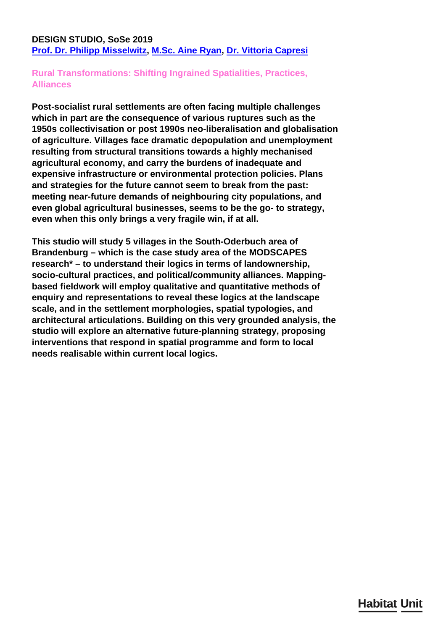### <span id="page-0-0"></span>**DESIGN STUDIO, SoSe 2019 [Prof. Dr. Philipp Misselwitz,](/en/team/philipp-misselwitz/) [M.Sc. Aine Ryan,](/en/team/aine-ryan/) [Dr. Vittoria Capresi](/en/team/vittoria-capresi/)**

## **Rural Transformations: Shifting Ingrained Spatialities, Practices, Alliances**

**Post-socialist rural settlements are often facing multiple challenges which in part are the consequence of various ruptures such as the 1950s collectivisation or post 1990s neo-liberalisation and globalisation of agriculture. Villages face dramatic depopulation and unemployment resulting from structural transitions towards a highly mechanised agricultural economy, and carry the burdens of inadequate and expensive infrastructure or environmental protection policies. Plans and strategies for the future cannot seem to break from the past: meeting near-future demands of neighbouring city populations, and even global agricultural businesses, seems to be the go- to strategy, even when this only brings a very fragile win, if at all.**

**This studio will study 5 villages in the South-Oderbuch area of Brandenburg – which is the case study area of the MODSCAPES research\* – to understand their logics in terms of landownership, socio-cultural practices, and political/community alliances. Mappingbased fieldwork will employ qualitative and quantitative methods of enquiry and representations to reveal these logics at the landscape scale, and in the settlement morphologies, spatial typologies, and architectural articulations. Building on this very grounded analysis, the studio will explore an alternative future-planning strategy, proposing interventions that respond in spatial programme and form to local needs realisable within current local logics.**

# **Habitat Unit**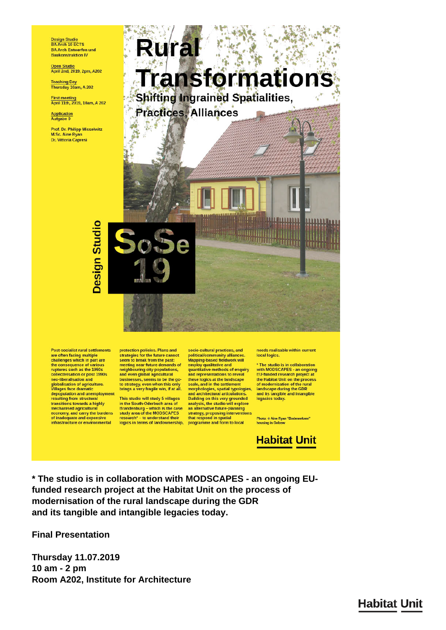Design Studio<br>BA Arch 10 ECTS **BA Arch Entwerfen und Baukonstruktion IV** 

Open Studio<br>April 2nd, 2019, 2pm, A202

**Teaching Day** Thursday 10am, A 202

First meeting<br>April 11th, 2019, 10am, A 202

Application<br>Aufgabe 0

Prof. Dr. Philipp Misselwitz M.Sc. Aine Ryan **Dr. Vittoria Capresi** 



**Post-socialist rural settlements** Post-socialist rural settlement<br>are often facing multiple<br>challenges which in part are<br>the consequence of various<br>ruptures such as the 1950s<br>collectivisation or post 1990s neo-liberalisation and globalisation of agriculture.<br>Villages face dramatic depopulation and unemployment resulting from structural<br>transitions towards a highly mechanised agricultura economy, and carry the burdens<br>of inadequate and expensive<br>infrastructure or environmental

**Design Studio** 

protection policies. Plans and<br>strategies for the future cannot seem to break from the past: meeting near-future demands of<br>neighbouring city populations,<br>and even global agricultural businesses, seems to be the go-<br>to strategy, even when this only<br>brings a very fragile win, if at all.

This studio will study 5 villages in the South-Oderbuch area of Brandenburg – which is the case<br>study area of the MODSCAPES<br>research\* – to understand their<br>logics in terms of landownership,

socio-cultural practices, and political/community alliances<br>Mapping-based fieldwork will employ qualitative and<br>quantitative methods of enquiry<br>and representations to reveal these logics at the landscape<br>scale, and in the settlement<br>morphologies, spatial typologies, and architectural articulations. Building on this very grounded<br>analysis, the studio will explore an alternative future-planning strategy, proposing interventions<br>that respond in spatial<br>programme and form to local needs realisable within current local logics.

\* The studio is in collaboration with MODSCAPES - an ongoing<br>EU-funded research project at the Habitat Unit on the process<br>of modernisation of the rural<br>landscape during the GDR and its tangible and intangible legacies today.

Photo: © Aine Ryan "Bodenreform"<br>housing in Golzow

**Habitat Unit** 

\* The studio is in collaboration with MODSCAPES - an ongoing EUfunded research project at the Habitat Unit on the process of modernisation of the rural landscape during the GDR and its tangible and intangible legacies today.

**Final Presentation** 

**Thursday 11.07.2019** 10 am - 2 pm Room A202, Institute for Architecture